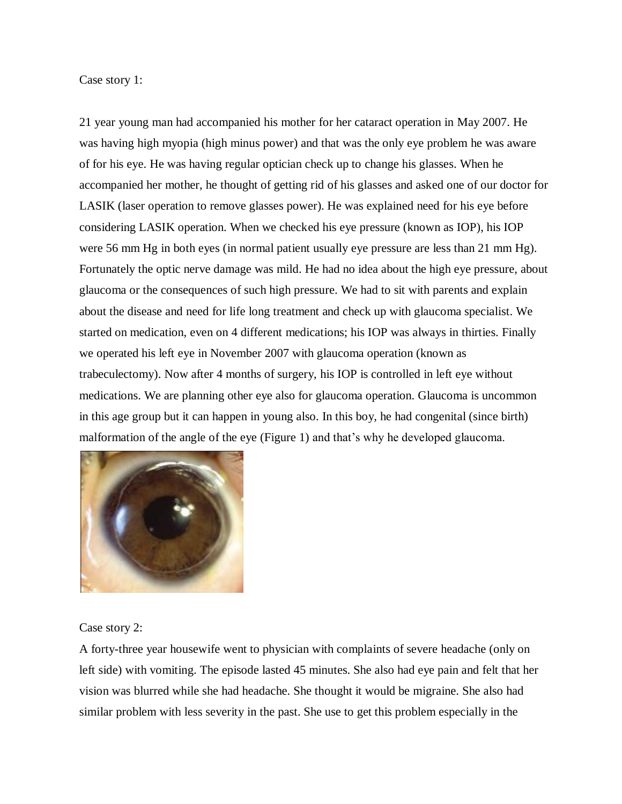Case story 1:

21 year young man had accompanied his mother for her cataract operation in May 2007. He was having high myopia (high minus power) and that was the only eye problem he was aware of for his eye. He was having regular optician check up to change his glasses. When he accompanied her mother, he thought of getting rid of his glasses and asked one of our doctor for LASIK (laser operation to remove glasses power). He was explained need for his eye before considering LASIK operation. When we checked his eye pressure (known as IOP), his IOP were 56 mm Hg in both eyes (in normal patient usually eye pressure are less than 21 mm Hg). Fortunately the optic nerve damage was mild. He had no idea about the high eye pressure, about glaucoma or the consequences of such high pressure. We had to sit with parents and explain about the disease and need for life long treatment and check up with glaucoma specialist. We started on medication, even on 4 different medications; his IOP was always in thirties. Finally we operated his left eye in November 2007 with glaucoma operation (known as trabeculectomy). Now after 4 months of surgery, his IOP is controlled in left eye without medications. We are planning other eye also for glaucoma operation. Glaucoma is uncommon in this age group but it can happen in young also. In this boy, he had congenital (since birth) malformation of the angle of the eye (Figure 1) and that's why he developed glaucoma.



Case story 2:

A forty-three year housewife went to physician with complaints of severe headache (only on left side) with vomiting. The episode lasted 45 minutes. She also had eye pain and felt that her vision was blurred while she had headache. She thought it would be migraine. She also had similar problem with less severity in the past. She use to get this problem especially in the